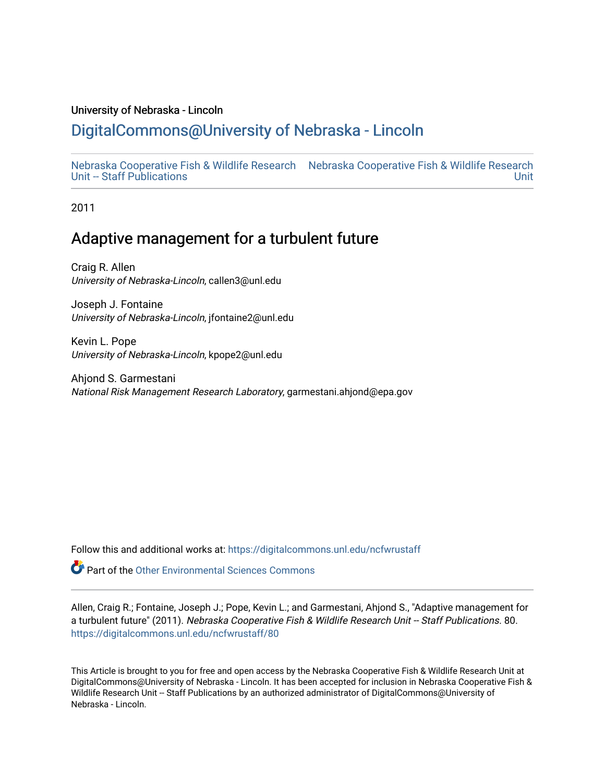# University of Nebraska - Lincoln

# [DigitalCommons@University of Nebraska - Lincoln](https://digitalcommons.unl.edu/)

[Nebraska Cooperative Fish & Wildlife Research](https://digitalcommons.unl.edu/ncfwrustaff)  [Nebraska Cooperative Fish & Wildlife Research](https://digitalcommons.unl.edu/ncfwru)  [Unit -- Staff Publications](https://digitalcommons.unl.edu/ncfwrustaff)  [Unit](https://digitalcommons.unl.edu/ncfwru) 

2011

# Adaptive management for a turbulent future

Craig R. Allen University of Nebraska-Lincoln, callen3@unl.edu

Joseph J. Fontaine University of Nebraska-Lincoln, jfontaine2@unl.edu

Kevin L. Pope University of Nebraska-Lincoln, kpope2@unl.edu

Ahjond S. Garmestani National Risk Management Research Laboratory, garmestani.ahjond@epa.gov

Follow this and additional works at: [https://digitalcommons.unl.edu/ncfwrustaff](https://digitalcommons.unl.edu/ncfwrustaff?utm_source=digitalcommons.unl.edu%2Fncfwrustaff%2F80&utm_medium=PDF&utm_campaign=PDFCoverPages) 

**Part of the Other Environmental Sciences Commons** 

Allen, Craig R.; Fontaine, Joseph J.; Pope, Kevin L.; and Garmestani, Ahjond S., "Adaptive management for a turbulent future" (2011). Nebraska Cooperative Fish & Wildlife Research Unit -- Staff Publications. 80. [https://digitalcommons.unl.edu/ncfwrustaff/80](https://digitalcommons.unl.edu/ncfwrustaff/80?utm_source=digitalcommons.unl.edu%2Fncfwrustaff%2F80&utm_medium=PDF&utm_campaign=PDFCoverPages) 

This Article is brought to you for free and open access by the Nebraska Cooperative Fish & Wildlife Research Unit at DigitalCommons@University of Nebraska - Lincoln. It has been accepted for inclusion in Nebraska Cooperative Fish & Wildlife Research Unit -- Staff Publications by an authorized administrator of DigitalCommons@University of Nebraska - Lincoln.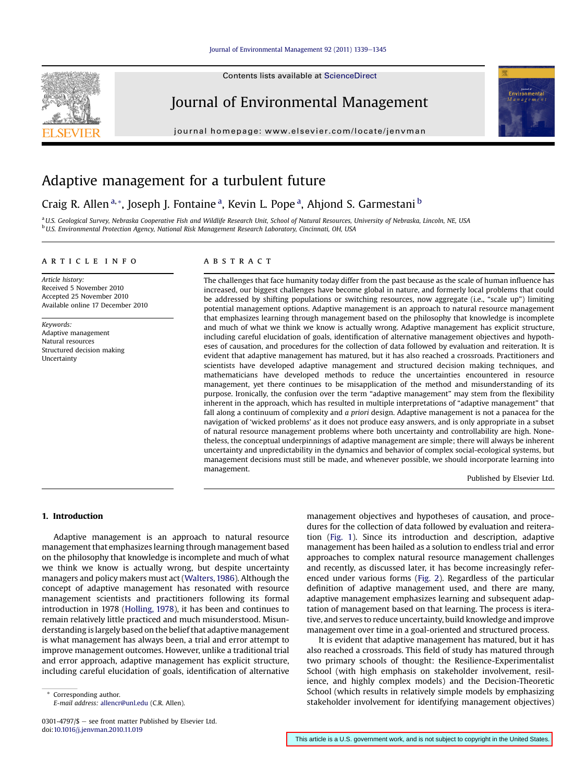### [Journal of Environmental Management 92 \(2011\) 1339](http://dx.doi.org/10.1016/j.jenvman.2010.11.019)-[1345](http://dx.doi.org/10.1016/j.jenvman.2010.11.019)



# Journal of Environmental Management

journal homepage: [www.elsevier.com/locate/jenvman](http://www.elsevier.com/locate/jenvman)



# Adaptive management for a turbulent future

# Craig R. Allen<sup>a,\*</sup>, Joseph J. Fontaine<sup>a</sup>, Kevin L. Pope<sup>a</sup>, Ahjond S. Garmestani <sup>b</sup>

a U.S. Geological Survey, Nebraska Cooperative Fish and Wildlife Research Unit, School of Natural Resources, University of Nebraska, Lincoln, NE, USA **b** U.S. Environmental Protection Agency, National Risk Management Research Laboratory, Cincinnati, OH, USA

## article info

Article history: Received 5 November 2010 Accepted 25 November 2010 Available online 17 December 2010

Keywords: Adaptive management Natural resources Structured decision making Uncertainty

## ABSTRACT

The challenges that face humanity today differ from the past because as the scale of human influence has increased, our biggest challenges have become global in nature, and formerly local problems that could be addressed by shifting populations or switching resources, now aggregate (i.e., "scale up") limiting potential management options. Adaptive management is an approach to natural resource management that emphasizes learning through management based on the philosophy that knowledge is incomplete and much of what we think we know is actually wrong. Adaptive management has explicit structure, including careful elucidation of goals, identification of alternative management objectives and hypotheses of causation, and procedures for the collection of data followed by evaluation and reiteration. It is evident that adaptive management has matured, but it has also reached a crossroads. Practitioners and scientists have developed adaptive management and structured decision making techniques, and mathematicians have developed methods to reduce the uncertainties encountered in resource management, yet there continues to be misapplication of the method and misunderstanding of its purpose. Ironically, the confusion over the term "adaptive management" may stem from the flexibility inherent in the approach, which has resulted in multiple interpretations of "adaptive management" that fall along a continuum of complexity and a priori design. Adaptive management is not a panacea for the navigation of 'wicked problems' as it does not produce easy answers, and is only appropriate in a subset of natural resource management problems where both uncertainty and controllability are high. Nonetheless, the conceptual underpinnings of adaptive management are simple; there will always be inherent uncertainty and unpredictability in the dynamics and behavior of complex social-ecological systems, but management decisions must still be made, and whenever possible, we should incorporate learning into management.

Published by Elsevier Ltd.

## 1. Introduction

Adaptive management is an approach to natural resource management that emphasizes learning through management based on the philosophy that knowledge is incomplete and much of what we think we know is actually wrong, but despite uncertainty managers and policy makers must act [\(Walters, 1986\)](#page-7-0). Although the concept of adaptive management has resonated with resource management scientists and practitioners following its formal introduction in 1978 ([Holling, 1978\)](#page-7-0), it has been and continues to remain relatively little practiced and much misunderstood. Misunderstanding is largely based on the belief that adaptive management is what management has always been, a trial and error attempt to improve management outcomes. However, unlike a traditional trial and error approach, adaptive management has explicit structure, including careful elucidation of goals, identification of alternative

It is evident that adaptive management has matured, but it has also reached a crossroads. This field of study has matured through two primary schools of thought: the Resilience-Experimentalist School (with high emphasis on stakeholder involvement, resilience, and highly complex models) and the Decision-Theoretic School (which results in relatively simple models by emphasizing stakeholder involvement for identifying management objectives)

Corresponding author.

management objectives and hypotheses of causation, and procedures for the collection of data followed by evaluation and reiteration [\(Fig. 1\)](#page-2-0). Since its introduction and description, adaptive management has been hailed as a solution to endless trial and error approaches to complex natural resource management challenges and recently, as discussed later, it has become increasingly referenced under various forms [\(Fig. 2\)](#page-3-0). Regardless of the particular definition of adaptive management used, and there are many, adaptive management emphasizes learning and subsequent adaptation of management based on that learning. The process is iterative, and serves to reduce uncertainty, build knowledge and improve management over time in a goal-oriented and structured process.

E-mail address: [allencr@unl.edu](mailto:allencr@unl.edu) (C.R. Allen).

<sup>0301-4797/\$</sup>  $-$  see front matter Published by Elsevier Ltd. doi[:10.1016/j.jenvman.2010.11.019](http://dx.doi.org/10.1016/j.jenvman.2010.11.019)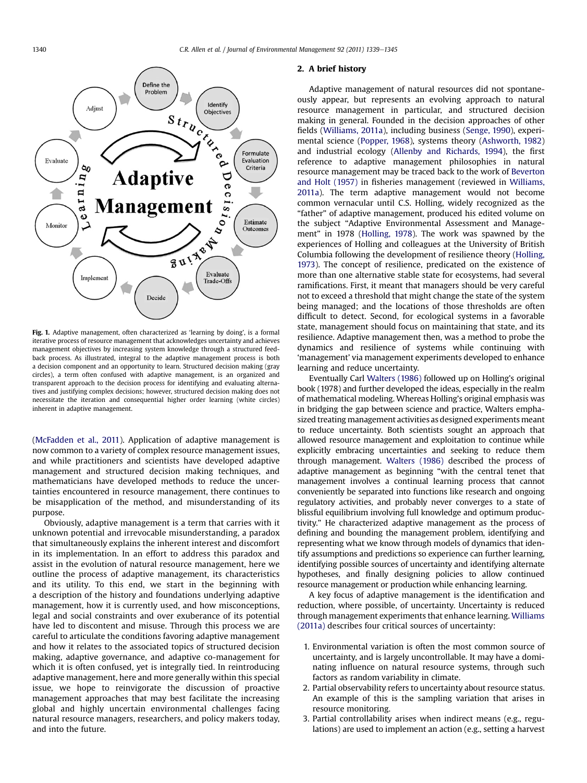<span id="page-2-0"></span>

Fig. 1. Adaptive management, often characterized as 'learning by doing', is a formal iterative process of resource management that acknowledges uncertainty and achieves management objectives by increasing system knowledge through a structured feedback process. As illustrated, integral to the adaptive management process is both a decision component and an opportunity to learn. Structured decision making (gray circles), a term often confused with adaptive management, is an organized and transparent approach to the decision process for identifying and evaluating alternatives and justifying complex decisions; however, structured decision making does not necessitate the iteration and consequential higher order learning (white circles) inherent in adaptive management.

([McFadden et al., 2011\)](#page-7-0). Application of adaptive management is now common to a variety of complex resource management issues, and while practitioners and scientists have developed adaptive management and structured decision making techniques, and mathematicians have developed methods to reduce the uncertainties encountered in resource management, there continues to be misapplication of the method, and misunderstanding of its purpose.

Obviously, adaptive management is a term that carries with it unknown potential and irrevocable misunderstanding, a paradox that simultaneously explains the inherent interest and discomfort in its implementation. In an effort to address this paradox and assist in the evolution of natural resource management, here we outline the process of adaptive management, its characteristics and its utility. To this end, we start in the beginning with a description of the history and foundations underlying adaptive management, how it is currently used, and how misconceptions, legal and social constraints and over exuberance of its potential have led to discontent and misuse. Through this process we are careful to articulate the conditions favoring adaptive management and how it relates to the associated topics of structured decision making, adaptive governance, and adaptive co-management for which it is often confused, yet is integrally tied. In reintroducing adaptive management, here and more generally within this special issue, we hope to reinvigorate the discussion of proactive management approaches that may best facilitate the increasing global and highly uncertain environmental challenges facing natural resource managers, researchers, and policy makers today, and into the future.

### 2. A brief history

Adaptive management of natural resources did not spontaneously appear, but represents an evolving approach to natural resource management in particular, and structured decision making in general. Founded in the decision approaches of other fields [\(Williams, 2011a\)](#page-7-0), including business ([Senge, 1990\)](#page-7-0), experimental science ([Popper, 1968\)](#page-7-0), systems theory [\(Ashworth, 1982\)](#page-6-0) and industrial ecology ([Allenby and Richards, 1994](#page-6-0)), the first reference to adaptive management philosophies in natural resource management may be traced back to the work of [Beverton](#page-6-0) [and Holt \(1957\)](#page-6-0) in fisheries management (reviewed in [Williams,](#page-7-0) [2011a\)](#page-7-0). The term adaptive management would not become common vernacular until C.S. Holling, widely recognized as the "father" of adaptive management, produced his edited volume on the subject "Adaptive Environmental Assessment and Management" in 1978 [\(Holling, 1978](#page-7-0)). The work was spawned by the experiences of Holling and colleagues at the University of British Columbia following the development of resilience theory [\(Holling,](#page-7-0) [1973\)](#page-7-0). The concept of resilience, predicated on the existence of more than one alternative stable state for ecosystems, had several ramifications. First, it meant that managers should be very careful not to exceed a threshold that might change the state of the system being managed; and the locations of those thresholds are often difficult to detect. Second, for ecological systems in a favorable state, management should focus on maintaining that state, and its resilience. Adaptive management then, was a method to probe the dynamics and resilience of systems while continuing with 'management' via management experiments developed to enhance learning and reduce uncertainty.

Eventually Carl [Walters \(1986\)](#page-7-0) followed up on Holling's original book (1978) and further developed the ideas, especially in the realm of mathematical modeling. Whereas Holling's original emphasis was in bridging the gap between science and practice, Walters emphasized treating management activities as designed experiments meant to reduce uncertainty. Both scientists sought an approach that allowed resource management and exploitation to continue while explicitly embracing uncertainties and seeking to reduce them through management. [Walters \(1986\)](#page-7-0) described the process of adaptive management as beginning "with the central tenet that management involves a continual learning process that cannot conveniently be separated into functions like research and ongoing regulatory activities, and probably never converges to a state of blissful equilibrium involving full knowledge and optimum productivity." He characterized adaptive management as the process of defining and bounding the management problem, identifying and representing what we know through models of dynamics that identify assumptions and predictions so experience can further learning, identifying possible sources of uncertainty and identifying alternate hypotheses, and finally designing policies to allow continued resource management or production while enhancing learning.

A key focus of adaptive management is the identification and reduction, where possible, of uncertainty. Uncertainty is reduced through management experiments that enhance learning. [Williams](#page-7-0) [\(2011a\)](#page-7-0) describes four critical sources of uncertainty:

- 1. Environmental variation is often the most common source of uncertainty, and is largely uncontrollable. It may have a dominating influence on natural resource systems, through such factors as random variability in climate.
- 2. Partial observability refers to uncertainty about resource status. An example of this is the sampling variation that arises in resource monitoring.
- 3. Partial controllability arises when indirect means (e.g., regulations) are used to implement an action (e.g., setting a harvest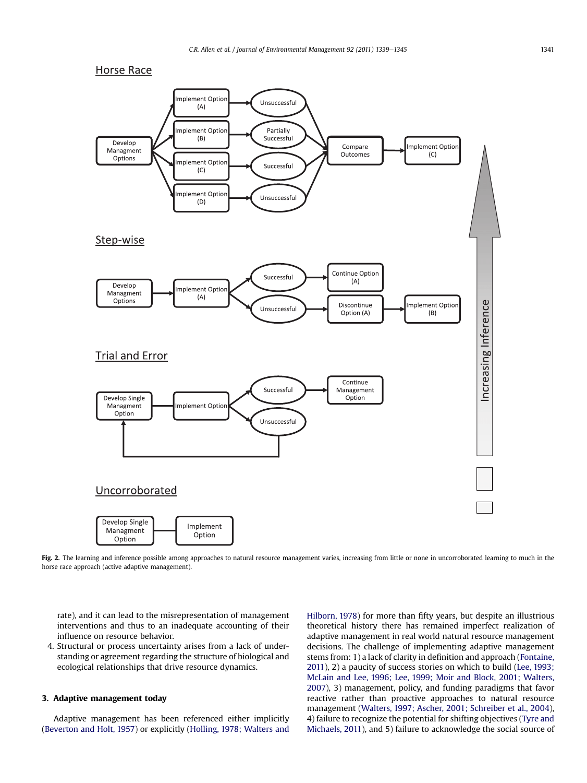## **Horse Race**

<span id="page-3-0"></span>

Fig. 2. The learning and inference possible among approaches to natural resource management varies, increasing from little or none in uncorroborated learning to much in the horse race approach (active adaptive management).

rate), and it can lead to the misrepresentation of management interventions and thus to an inadequate accounting of their influence on resource behavior.

4. Structural or process uncertainty arises from a lack of understanding or agreement regarding the structure of biological and ecological relationships that drive resource dynamics.

## 3. Adaptive management today

Adaptive management has been referenced either implicitly ([Beverton and Holt, 1957\)](#page-6-0) or explicitly ([Holling, 1978; Walters and](#page-7-0) [Hilborn, 1978\)](#page-7-0) for more than fifty years, but despite an illustrious theoretical history there has remained imperfect realization of adaptive management in real world natural resource management decisions. The challenge of implementing adaptive management stems from: 1) a lack of clarity in definition and approach ([Fontaine,](#page-7-0) [2011](#page-7-0)), 2) a paucity of success stories on which to build ([Lee, 1993;](#page-7-0) [McLain and Lee, 1996; Lee, 1999; Moir and Block, 2001; Walters,](#page-7-0) [2007\)](#page-7-0), 3) management, policy, and funding paradigms that favor reactive rather than proactive approaches to natural resource management ([Walters, 1997; Ascher, 2001; Schreiber et al., 2004\)](#page-7-0), 4) failure to recognize the potential for shifting objectives ([Tyre and](#page-7-0) [Michaels, 2011](#page-7-0)), and 5) failure to acknowledge the social source of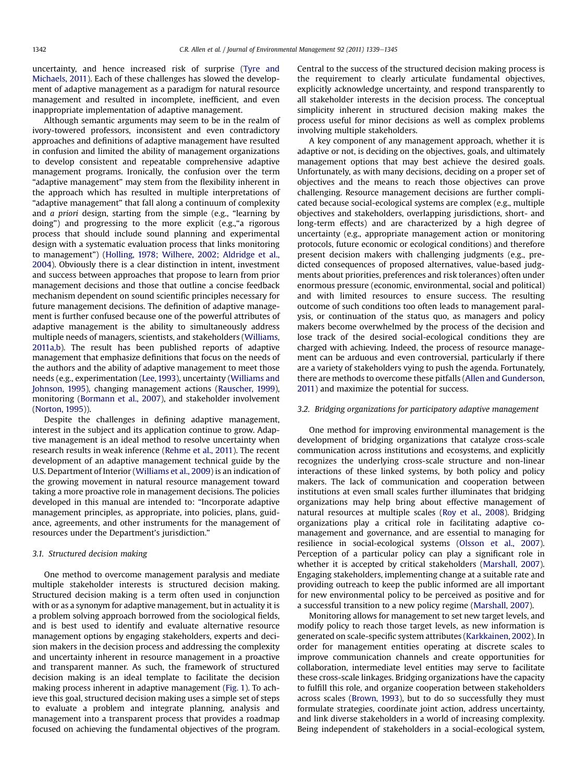uncertainty, and hence increased risk of surprise [\(Tyre and](#page-7-0) [Michaels, 2011\)](#page-7-0). Each of these challenges has slowed the development of adaptive management as a paradigm for natural resource management and resulted in incomplete, inefficient, and even inappropriate implementation of adaptive management.

Although semantic arguments may seem to be in the realm of ivory-towered professors, inconsistent and even contradictory approaches and definitions of adaptive management have resulted in confusion and limited the ability of management organizations to develop consistent and repeatable comprehensive adaptive management programs. Ironically, the confusion over the term "adaptive management" may stem from the flexibility inherent in the approach which has resulted in multiple interpretations of "adaptive management" that fall along a continuum of complexity and a priori design, starting from the simple (e.g., "learning by doing") and progressing to the more explicit (e.g.,"a rigorous process that should include sound planning and experimental design with a systematic evaluation process that links monitoring to management") [\(Holling, 1978; Wilhere, 2002; Aldridge et al.,](#page-7-0) [2004](#page-7-0)). Obviously there is a clear distinction in intent, investment and success between approaches that propose to learn from prior management decisions and those that outline a concise feedback mechanism dependent on sound scientific principles necessary for future management decisions. The definition of adaptive management is further confused because one of the powerful attributes of adaptive management is the ability to simultaneously address multiple needs of managers, scientists, and stakeholders [\(Williams,](#page-7-0) [2011a,b\)](#page-7-0). The result has been published reports of adaptive management that emphasize definitions that focus on the needs of the authors and the ability of adaptive management to meet those needs (e.g., experimentation [\(Lee, 1993\)](#page-7-0), uncertainty [\(Williams and](#page-7-0) [Johnson, 1995\)](#page-7-0), changing management actions [\(Rauscher, 1999](#page-7-0)), monitoring ([Bormann et al., 2007](#page-6-0)), and stakeholder involvement ([Norton, 1995\)](#page-7-0)).

Despite the challenges in defining adaptive management, interest in the subject and its application continue to grow. Adaptive management is an ideal method to resolve uncertainty when research results in weak inference [\(Rehme et al., 2011](#page-7-0)). The recent development of an adaptive management technical guide by the U.S. Department of Interior ([Williams et al., 2009\)](#page-7-0) is an indication of the growing movement in natural resource management toward taking a more proactive role in management decisions. The policies developed in this manual are intended to: "Incorporate adaptive management principles, as appropriate, into policies, plans, guidance, agreements, and other instruments for the management of resources under the Department's jurisdiction."

## 3.1. Structured decision making

One method to overcome management paralysis and mediate multiple stakeholder interests is structured decision making. Structured decision making is a term often used in conjunction with or as a synonym for adaptive management, but in actuality it is a problem solving approach borrowed from the sociological fields, and is best used to identify and evaluate alternative resource management options by engaging stakeholders, experts and decision makers in the decision process and addressing the complexity and uncertainty inherent in resource management in a proactive and transparent manner. As such, the framework of structured decision making is an ideal template to facilitate the decision making process inherent in adaptive management [\(Fig. 1\)](#page-2-0). To achieve this goal, structured decision making uses a simple set of steps to evaluate a problem and integrate planning, analysis and management into a transparent process that provides a roadmap focused on achieving the fundamental objectives of the program. Central to the success of the structured decision making process is the requirement to clearly articulate fundamental objectives, explicitly acknowledge uncertainty, and respond transparently to all stakeholder interests in the decision process. The conceptual simplicity inherent in structured decision making makes the process useful for minor decisions as well as complex problems involving multiple stakeholders.

A key component of any management approach, whether it is adaptive or not, is deciding on the objectives, goals, and ultimately management options that may best achieve the desired goals. Unfortunately, as with many decisions, deciding on a proper set of objectives and the means to reach those objectives can prove challenging. Resource management decisions are further complicated because social-ecological systems are complex (e.g., multiple objectives and stakeholders, overlapping jurisdictions, short- and long-term effects) and are characterized by a high degree of uncertainty (e.g., appropriate management action or monitoring protocols, future economic or ecological conditions) and therefore present decision makers with challenging judgments (e.g., predicted consequences of proposed alternatives, value-based judgments about priorities, preferences and risk tolerances) often under enormous pressure (economic, environmental, social and political) and with limited resources to ensure success. The resulting outcome of such conditions too often leads to management paralysis, or continuation of the status quo, as managers and policy makers become overwhelmed by the process of the decision and lose track of the desired social-ecological conditions they are charged with achieving. Indeed, the process of resource management can be arduous and even controversial, particularly if there are a variety of stakeholders vying to push the agenda. Fortunately, there are methods to overcome these pitfalls [\(Allen and Gunderson,](#page-6-0) [2011\)](#page-6-0) and maximize the potential for success.

### 3.2. Bridging organizations for participatory adaptive management

One method for improving environmental management is the development of bridging organizations that catalyze cross-scale communication across institutions and ecosystems, and explicitly recognizes the underlying cross-scale structure and non-linear interactions of these linked systems, by both policy and policy makers. The lack of communication and cooperation between institutions at even small scales further illuminates that bridging organizations may help bring about effective management of natural resources at multiple scales [\(Roy et al., 2008\)](#page-7-0). Bridging organizations play a critical role in facilitating adaptive comanagement and governance, and are essential to managing for resilience in social-ecological systems [\(Olsson et al., 2007\)](#page-7-0). Perception of a particular policy can play a significant role in whether it is accepted by critical stakeholders [\(Marshall, 2007\)](#page-7-0). Engaging stakeholders, implementing change at a suitable rate and providing outreach to keep the public informed are all important for new environmental policy to be perceived as positive and for a successful transition to a new policy regime ([Marshall, 2007](#page-7-0)).

Monitoring allows for management to set new target levels, and modify policy to reach those target levels, as new information is generated on scale-specific system attributes [\(Karkkainen, 2002\)](#page-7-0). In order for management entities operating at discrete scales to improve communication channels and create opportunities for collaboration, intermediate level entities may serve to facilitate these cross-scale linkages. Bridging organizations have the capacity to fulfill this role, and organize cooperation between stakeholders across scales [\(Brown, 1993](#page-6-0)), but to do so successfully they must formulate strategies, coordinate joint action, address uncertainty, and link diverse stakeholders in a world of increasing complexity. Being independent of stakeholders in a social-ecological system,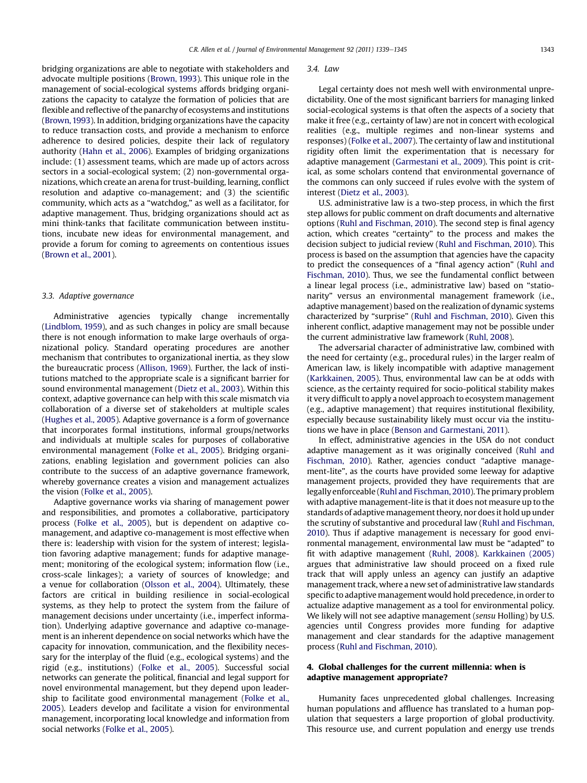bridging organizations are able to negotiate with stakeholders and advocate multiple positions ([Brown, 1993\)](#page-6-0). This unique role in the management of social-ecological systems affords bridging organizations the capacity to catalyze the formation of policies that are flexible and reflective of the panarchy of ecosystems and institutions ([Brown, 1993\)](#page-6-0). In addition, bridging organizations have the capacity to reduce transaction costs, and provide a mechanism to enforce adherence to desired policies, despite their lack of regulatory authority ([Hahn et al., 2006](#page-7-0)). Examples of bridging organizations include: (1) assessment teams, which are made up of actors across sectors in a social-ecological system; (2) non-governmental organizations, which create an arena for trust-building, learning, conflict resolution and adaptive co-management; and (3) the scientific community, which acts as a "watchdog," as well as a facilitator, for adaptive management. Thus, bridging organizations should act as mini think-tanks that facilitate communication between institutions, incubate new ideas for environmental management, and provide a forum for coming to agreements on contentious issues ([Brown et al., 2001](#page-6-0)).

### 3.3. Adaptive governance

Administrative agencies typically change incrementally ([Lindblom, 1959\)](#page-7-0), and as such changes in policy are small because there is not enough information to make large overhauls of organizational policy. Standard operating procedures are another mechanism that contributes to organizational inertia, as they slow the bureaucratic process ([Allison, 1969](#page-6-0)). Further, the lack of institutions matched to the appropriate scale is a significant barrier for sound environmental management ([Dietz et al., 2003\)](#page-6-0). Within this context, adaptive governance can help with this scale mismatch via collaboration of a diverse set of stakeholders at multiple scales ([Hughes et al., 2005](#page-7-0)). Adaptive governance is a form of governance that incorporates formal institutions, informal groups/networks and individuals at multiple scales for purposes of collaborative environmental management ([Folke et al., 2005](#page-7-0)). Bridging organizations, enabling legislation and government policies can also contribute to the success of an adaptive governance framework, whereby governance creates a vision and management actualizes the vision [\(Folke et al., 2005\)](#page-7-0).

Adaptive governance works via sharing of management power and responsibilities, and promotes a collaborative, participatory process [\(Folke et al., 2005\)](#page-7-0), but is dependent on adaptive comanagement, and adaptive co-management is most effective when there is: leadership with vision for the system of interest; legislation favoring adaptive management; funds for adaptive management; monitoring of the ecological system; information flow (i.e., cross-scale linkages); a variety of sources of knowledge; and a venue for collaboration [\(Olsson et al., 2004](#page-7-0)). Ultimately, these factors are critical in building resilience in social-ecological systems, as they help to protect the system from the failure of management decisions under uncertainty (i.e., imperfect information). Underlying adaptive governance and adaptive co-management is an inherent dependence on social networks which have the capacity for innovation, communication, and the flexibility necessary for the interplay of the fluid (e.g., ecological systems) and the rigid (e.g., institutions) ([Folke et al., 2005\)](#page-7-0). Successful social networks can generate the political, financial and legal support for novel environmental management, but they depend upon leadership to facilitate good environmental management [\(Folke et al.,](#page-7-0) [2005\)](#page-7-0). Leaders develop and facilitate a vision for environmental management, incorporating local knowledge and information from social networks [\(Folke et al., 2005\)](#page-7-0).

### 3.4. Law

Legal certainty does not mesh well with environmental unpredictability. One of the most significant barriers for managing linked social-ecological systems is that often the aspects of a society that make it free (e.g., certainty of law) are not in concert with ecological realities (e.g., multiple regimes and non-linear systems and responses) ([Folke et al., 2007\)](#page-7-0). The certainty of law and institutional rigidity often limit the experimentation that is necessary for adaptive management ([Garmestani et al., 2009\)](#page-7-0). This point is critical, as some scholars contend that environmental governance of the commons can only succeed if rules evolve with the system of interest ([Dietz et al., 2003](#page-6-0)).

U.S. administrative law is a two-step process, in which the first step allows for public comment on draft documents and alternative options [\(Ruhl and Fischman, 2010](#page-7-0)). The second step is final agency action, which creates "certainty" to the process and makes the decision subject to judicial review [\(Ruhl and Fischman, 2010\)](#page-7-0). This process is based on the assumption that agencies have the capacity to predict the consequences of a "final agency action" ([Ruhl and](#page-7-0) [Fischman, 2010\)](#page-7-0). Thus, we see the fundamental conflict between a linear legal process (i.e., administrative law) based on "stationarity" versus an environmental management framework (i.e., adaptive management) based on the realization of dynamic systems characterized by "surprise" [\(Ruhl and Fischman, 2010](#page-7-0)). Given this inherent conflict, adaptive management may not be possible under the current administrative law framework [\(Ruhl, 2008\)](#page-7-0).

The adversarial character of administrative law, combined with the need for certainty (e.g., procedural rules) in the larger realm of American law, is likely incompatible with adaptive management ([Karkkainen, 2005](#page-7-0)). Thus, environmental law can be at odds with science, as the certainty required for socio-political stability makes it very difficult to apply a novel approach to ecosystem management (e.g., adaptive management) that requires institutional flexibility, especially because sustainability likely must occur via the institutions we have in place [\(Benson and Garmestani, 2011](#page-6-0)).

In effect, administrative agencies in the USA do not conduct adaptive management as it was originally conceived ([Ruhl and](#page-7-0) [Fischman, 2010\)](#page-7-0). Rather, agencies conduct "adaptive management-lite", as the courts have provided some leeway for adaptive management projects, provided they have requirements that are legally enforceable ([Ruhl and Fischman, 2010](#page-7-0)). The primary problem with adaptive management-lite is that it does not measure up to the standards of adaptive management theory, nor does it hold up under the scrutiny of substantive and procedural law ([Ruhl and Fischman,](#page-7-0) [2010\)](#page-7-0). Thus if adaptive management is necessary for good environmental management, environmental law must be "adapted" to fit with adaptive management ([Ruhl, 2008](#page-7-0)). [Karkkainen \(2005\)](#page-7-0) argues that administrative law should proceed on a fixed rule track that will apply unless an agency can justify an adaptive management track, where a new set of administrative law standards specific to adaptive management would hold precedence, in order to actualize adaptive management as a tool for environmental policy. We likely will not see adaptive management (sensu Holling) by U.S. agencies until Congress provides more funding for adaptive management and clear standards for the adaptive management process ([Ruhl and Fischman, 2010\)](#page-7-0).

## 4. Global challenges for the current millennia: when is adaptive management appropriate?

Humanity faces unprecedented global challenges. Increasing human populations and affluence has translated to a human population that sequesters a large proportion of global productivity. This resource use, and current population and energy use trends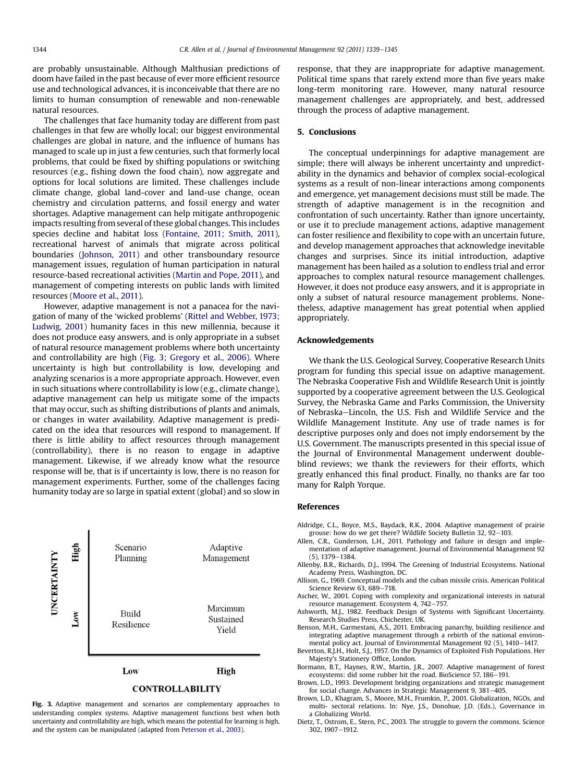<span id="page-6-0"></span>are probably unsustainable. Although Malthusian predictions of doom have failed in the past because of ever more efficient resource use and technological advances, it is inconceivable that there are no limits to human consumption of renewable and non-renewable natural resources.

The challenges that face humanity today are different from past challenges in that few are wholly local; our biggest environmental challenges are global in nature, and the influence of humans has managed to scale up in just a few centuries, such that formerly local problems, that could be fixed by shifting populations or switching resources (e.g., fishing down the food chain), now aggregate and options for local solutions are limited. These challenges include climate change, global land-cover and land-use change, ocean chemistry and circulation patterns, and fossil energy and water shortages. Adaptive management can help mitigate anthropogenic impacts resulting from several of these global changes. This includes species decline and habitat loss [\(Fontaine, 2011; Smith, 2011](#page-7-0)), recreational harvest of animals that migrate across political boundaries [\(Johnson, 2011](#page-7-0)) and other transboundary resource management issues, regulation of human participation in natural resource-based recreational activities [\(Martin and Pope, 2011\)](#page-7-0), and management of competing interests on public lands with limited resources ([Moore et al., 2011](#page-7-0)).

However, adaptive management is not a panacea for the navigation of many of the 'wicked problems' ([Rittel and Webber, 1973;](#page-7-0) [Ludwig, 2001](#page-7-0)) humanity faces in this new millennia, because it does not produce easy answers, and is only appropriate in a subset of natural resource management problems where both uncertainty and controllability are high (Fig. 3; [Gregory et al., 2006](#page-7-0)). Where uncertainty is high but controllability is low, developing and analyzing scenarios is a more appropriate approach. However, even in such situations where controllability is low (e.g., climate change), adaptive management can help us mitigate some of the impacts that may occur, such as shifting distributions of plants and animals, or changes in water availability. Adaptive management is predicated on the idea that resources will respond to management. If there is little ability to affect resources through management (controllability), there is no reason to engage in adaptive management. Likewise, if we already know what the resource response will be, that is if uncertainty is low, there is no reason for management experiments. Further, some of the challenges facing humanity today are so large in spatial extent (global) and so slow in



### **CONTROLLABILITY**

Fig. 3. Adaptive management and scenarios are complementary approaches to understanding complex systems. Adaptive management functions best when both uncertainty and controllability are high, which means the potential for learning is high, and the system can be manipulated (adapted from [Peterson et al., 2003\)](#page-7-0).

response, that they are inappropriate for adaptive management. Political time spans that rarely extend more than five years make long-term monitoring rare. However, many natural resource management challenges are appropriately, and best, addressed through the process of adaptive management.

## 5. Conclusions

The conceptual underpinnings for adaptive management are simple; there will always be inherent uncertainty and unpredictability in the dynamics and behavior of complex social-ecological systems as a result of non-linear interactions among components and emergence, yet management decisions must still be made. The strength of adaptive management is in the recognition and confrontation of such uncertainty. Rather than ignore uncertainty, or use it to preclude management actions, adaptive management can foster resilience and flexibility to cope with an uncertain future, and develop management approaches that acknowledge inevitable changes and surprises. Since its initial introduction, adaptive management has been hailed as a solution to endless trial and error approaches to complex natural resource management challenges. However, it does not produce easy answers, and it is appropriate in only a subset of natural resource management problems. Nonetheless, adaptive management has great potential when applied appropriately.

## Acknowledgements

We thank the U.S. Geological Survey, Cooperative Research Units program for funding this special issue on adaptive management. The Nebraska Cooperative Fish and Wildlife Research Unit is jointly supported by a cooperative agreement between the U.S. Geological Survey, the Nebraska Game and Parks Commission, the University of Nebraska-Lincoln, the U.S. Fish and Wildlife Service and the Wildlife Management Institute. Any use of trade names is for descriptive purposes only and does not imply endorsement by the U.S. Government. The manuscripts presented in this special issue of the Journal of Environmental Management underwent doubleblind reviews; we thank the reviewers for their efforts, which greatly enhanced this final product. Finally, no thanks are far too many for Ralph Yorque.

## References

- Aldridge, C.L., Boyce, M.S., Baydack, R.K., 2004. Adaptive management of prairie grouse: how do we get there? Wildlife Society Bulletin 32, 92-103.
- Allen, C.R., Gunderson, L.H., 2011. Pathology and failure in design and implementation of adaptive management. Journal of Environmental Management 92  $(5)$ , 1379-1384.
- Allenby, B.R., Richards, D.J., 1994. The Greening of Industrial Ecosystems. National Academy Press, Washington, DC.
- Allison, G., 1969. Conceptual models and the cuban missile crisis. American Political Science Review 63, 689-718.
- Ascher, W., 2001. Coping with complexity and organizational interests in natural resource management. Ecosystem 4, 742-757.
- Ashworth, M.J., 1982. Feedback Design of Systems with Significant Uncertainty. Research Studies Press, Chichester, UK.

Benson, M.H., Garmestani, A.S., 2011. Embracing panarchy, building resilience and integrating adaptive management through a rebirth of the national environmental policy act. Journal of Environmental Management 92 (5), 1410-1417.

- Beverton, R.J.H., Holt, S.J., 1957. On the Dynamics of Exploited Fish Populations. Her Majesty's Stationery Office, London.
- Bormann, B.T., Haynes, R.W., Martin, J.R., 2007. Adaptive management of forest ecosystems: did some rubber hit the road. BioScience 57, 186-191.
- Brown, L.D., 1993. Development bridging organizations and strategic management for social change. Advances in Strategic Management 9, 381-405.
- Brown, L.D., Khagram, S., Moore, M.H., Frumkin, P., 2001. Globalization, NGOs, and multi- sectoral relations. In: Nye, J.S., Donohue, J.D. (Eds.), Governance in a Globalizing World.
- Dietz, T., Ostrom, E., Stern, P.C., 2003. The struggle to govern the commons. Science 302, 1907-1912.